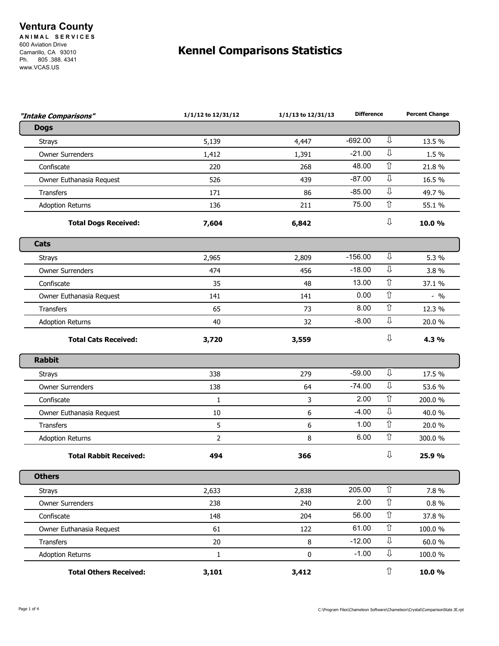## **Ventura County**

**A N I M A L S E R V I C E S**  600 Aviation Drive Camarillo, CA 93010 Ph. 805 .388. 4341 www.VCAS.US

## **Kennel Comparisons Statistics**

| "Intake Comparisons"          | 1/1/12 to 12/31/12 | 1/1/13 to 12/31/13 | <b>Difference</b> |                    | <b>Percent Change</b> |
|-------------------------------|--------------------|--------------------|-------------------|--------------------|-----------------------|
| <b>Dogs</b>                   |                    |                    |                   |                    |                       |
| <b>Strays</b>                 | 5,139              | 4,447              | $-692.00$         | ⇩                  | 13.5 %                |
| <b>Owner Surrenders</b>       | 1,412              | 1,391              | $-21.00$          | ⇩                  | 1.5 %                 |
| Confiscate                    | 220                | 268                | 48.00             | $\hat{\mathbb{U}}$ | 21.8%                 |
| Owner Euthanasia Request      | 526                | 439                | $-87.00$          | $\mathbb{J}$       | 16.5 %                |
| <b>Transfers</b>              | 171                | 86                 | $-85.00$          | ⇩                  | 49.7 %                |
| <b>Adoption Returns</b>       | 136                | 211                | 75.00             | $\hat{\mathbb{I}}$ | 55.1 %                |
| <b>Total Dogs Received:</b>   | 7,604              | 6,842              |                   | ⇩                  | 10.0 %                |
| Cats                          |                    |                    |                   |                    |                       |
| <b>Strays</b>                 | 2,965              | 2,809              | $-156.00$         | ⇩                  | 5.3 %                 |
| <b>Owner Surrenders</b>       | 474                | 456                | $-18.00$          | ⇩                  | 3.8%                  |
| Confiscate                    | 35                 | 48                 | 13.00             | $\hat{\mathbb{U}}$ | 37.1 %                |
| Owner Euthanasia Request      | 141                | 141                | 0.00              | ⇧                  | $-9/0$                |
| <b>Transfers</b>              | 65                 | 73                 | 8.00              | $\hat{\mathbb{U}}$ | 12.3 %                |
| <b>Adoption Returns</b>       | 40                 | 32                 | $-8.00$           | ⇩                  | 20.0 %                |
| <b>Total Cats Received:</b>   | 3,720              | 3,559              |                   | ⇩                  | 4.3 %                 |
| <b>Rabbit</b>                 |                    |                    |                   |                    |                       |
| <b>Strays</b>                 | 338                | 279                | $-59.00$          | ⇩                  | 17.5 %                |
| <b>Owner Surrenders</b>       | 138                | 64                 | $-74.00$          | ⇩                  | 53.6 %                |
| Confiscate                    | $\mathbf{1}$       | 3                  | 2.00              | $\hat{\mathbb{I}}$ | 200.0%                |
| Owner Euthanasia Request      | 10                 | 6                  | $-4.00$           | ⇩                  | 40.0 %                |
| <b>Transfers</b>              | 5                  | 6                  | 1.00              | $\hat{\mathbb{U}}$ | 20.0%                 |
| <b>Adoption Returns</b>       | $\overline{2}$     | 8                  | 6.00              | ⇧                  | 300.0 %               |
| <b>Total Rabbit Received:</b> | 494                | 366                |                   | ⇩                  | 25.9 %                |
| <b>Others</b>                 |                    |                    |                   |                    |                       |
| <b>Strays</b>                 | 2,633              | 2,838              | 205.00            | $\hat{\mathbb{U}}$ | 7.8 %                 |
| <b>Owner Surrenders</b>       | 238                | 240                | 2.00              | $\hat{\mathbb{U}}$ | $0.8 \%$              |
| Confiscate                    | 148                | 204                | 56.00             | $\hat{\mathbb{U}}$ | 37.8 %                |
| Owner Euthanasia Request      | 61                 | 122                | 61.00             | ⇧                  | 100.0%                |
| <b>Transfers</b>              | 20                 | $\,8\,$            | $-12.00$          | $\mathbb U$        | 60.0%                 |
| <b>Adoption Returns</b>       | $1\,$              | 0                  | $-1.00$           | ⇩                  | 100.0%                |
| <b>Total Others Received:</b> | 3,101              | 3,412              |                   | $\Upsilon$         | 10.0%                 |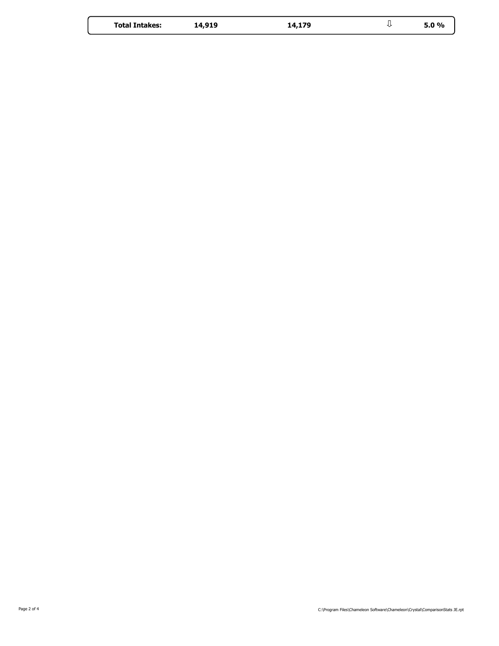| <b>Total Intakes:</b> | 14,919 | 14,179 |  | 5.0% |
|-----------------------|--------|--------|--|------|
|-----------------------|--------|--------|--|------|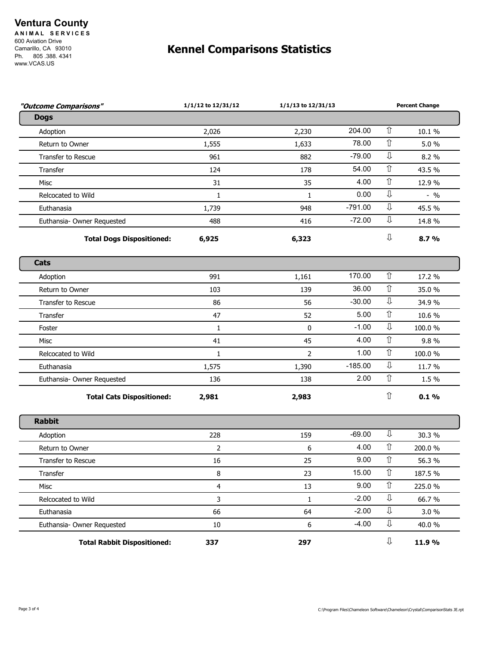## **Ventura County**

**A N I M A L S E R V I C E S**  600 Aviation Drive Camarillo, CA 93010 Ph. 805 .388. 4341 www.VCAS.US

## **Kennel Comparisons Statistics**

| ⇧<br>204.00<br>2,026<br>2,230<br>Adoption<br>⇧<br>78.00<br>Return to Owner<br>1,555<br>1,633<br>⇩<br>$-79.00$<br>Transfer to Rescue<br>961<br>882<br>$\Upsilon$<br>54.00<br>Transfer<br>124<br>178<br>$\hat{\mathbb{U}}$<br>4.00<br>31<br>35<br>Misc<br>⇩<br>0.00<br>Relcocated to Wild<br>$\mathbf{1}$<br>$\mathbf{1}$<br>⇩<br>$-791.00$<br>Euthanasia<br>1,739<br>948<br>⇩<br>$-72.00$<br>Euthansia- Owner Requested<br>488<br>416<br>⇩<br><b>Total Dogs Dispositioned:</b><br>6,925<br>6,323<br>⇧<br>170.00<br>991<br>1,161<br>Adoption<br>$\Upsilon$<br>36.00<br>Return to Owner<br>103<br>139<br>⇩<br>$-30.00$<br>86<br>56<br>Transfer to Rescue<br>$\hat{u}$<br>5.00<br>47<br>Transfer<br>52<br>⇩<br>$-1.00$<br>$\mathbf 0$<br>$\mathbf{1}$<br>Foster<br>⇧<br>4.00<br>41<br>45<br>Misc<br>$\hat{u}$<br>1.00<br>Relcocated to Wild<br>$\overline{2}$<br>$\mathbf{1}$<br>⇩<br>$-185.00$<br>1,575<br>Euthanasia<br>1,390<br>⇧<br>2.00<br>136<br>138<br>Euthansia- Owner Requested<br>⇧<br><b>Total Cats Dispositioned:</b><br>2,981<br>2,983<br>⇩<br>$-69.00$<br>228<br>159<br>Adoption<br>⇧<br>4.00<br>6<br>Return to Owner<br>2<br>$\hat{\mathbb{U}}$<br>9.00<br>16<br>25<br><b>Transfer to Rescue</b><br>15.00<br>⇧<br>Transfer<br>8<br>23<br>$\hat{\mathbb{U}}$<br>9.00<br>$\overline{\mathbf{4}}$<br>13<br>Misc<br>⇩<br>$-2.00$<br>$\overline{3}$<br>Relcocated to Wild<br>$\mathbf{1}$<br>⇩<br>$-2.00$<br>66<br>Euthanasia<br>64<br>⇩<br>$-4.00$<br>6<br>Euthansia- Owner Requested<br>10<br>⇩<br><b>Total Rabbit Dispositioned:</b><br>337<br>297 | "Outcome Comparisons" | 1/1/12 to 12/31/12 | 1/1/13 to 12/31/13 |  | <b>Percent Change</b> |
|-------------------------------------------------------------------------------------------------------------------------------------------------------------------------------------------------------------------------------------------------------------------------------------------------------------------------------------------------------------------------------------------------------------------------------------------------------------------------------------------------------------------------------------------------------------------------------------------------------------------------------------------------------------------------------------------------------------------------------------------------------------------------------------------------------------------------------------------------------------------------------------------------------------------------------------------------------------------------------------------------------------------------------------------------------------------------------------------------------------------------------------------------------------------------------------------------------------------------------------------------------------------------------------------------------------------------------------------------------------------------------------------------------------------------------------------------------------------------------------------------------------------------------------------------------------|-----------------------|--------------------|--------------------|--|-----------------------|
|                                                                                                                                                                                                                                                                                                                                                                                                                                                                                                                                                                                                                                                                                                                                                                                                                                                                                                                                                                                                                                                                                                                                                                                                                                                                                                                                                                                                                                                                                                                                                             | <b>Dogs</b>           |                    |                    |  |                       |
|                                                                                                                                                                                                                                                                                                                                                                                                                                                                                                                                                                                                                                                                                                                                                                                                                                                                                                                                                                                                                                                                                                                                                                                                                                                                                                                                                                                                                                                                                                                                                             |                       |                    |                    |  | 10.1 %                |
|                                                                                                                                                                                                                                                                                                                                                                                                                                                                                                                                                                                                                                                                                                                                                                                                                                                                                                                                                                                                                                                                                                                                                                                                                                                                                                                                                                                                                                                                                                                                                             |                       |                    |                    |  | 5.0%                  |
|                                                                                                                                                                                                                                                                                                                                                                                                                                                                                                                                                                                                                                                                                                                                                                                                                                                                                                                                                                                                                                                                                                                                                                                                                                                                                                                                                                                                                                                                                                                                                             |                       |                    |                    |  | 8.2 %                 |
|                                                                                                                                                                                                                                                                                                                                                                                                                                                                                                                                                                                                                                                                                                                                                                                                                                                                                                                                                                                                                                                                                                                                                                                                                                                                                                                                                                                                                                                                                                                                                             |                       |                    |                    |  | 43.5 %                |
|                                                                                                                                                                                                                                                                                                                                                                                                                                                                                                                                                                                                                                                                                                                                                                                                                                                                                                                                                                                                                                                                                                                                                                                                                                                                                                                                                                                                                                                                                                                                                             |                       |                    |                    |  | 12.9 %                |
|                                                                                                                                                                                                                                                                                                                                                                                                                                                                                                                                                                                                                                                                                                                                                                                                                                                                                                                                                                                                                                                                                                                                                                                                                                                                                                                                                                                                                                                                                                                                                             |                       |                    |                    |  | $-9/0$                |
| Cats<br><b>Rabbit</b>                                                                                                                                                                                                                                                                                                                                                                                                                                                                                                                                                                                                                                                                                                                                                                                                                                                                                                                                                                                                                                                                                                                                                                                                                                                                                                                                                                                                                                                                                                                                       |                       |                    |                    |  | 45.5 %                |
|                                                                                                                                                                                                                                                                                                                                                                                                                                                                                                                                                                                                                                                                                                                                                                                                                                                                                                                                                                                                                                                                                                                                                                                                                                                                                                                                                                                                                                                                                                                                                             |                       |                    |                    |  | 14.8 %                |
|                                                                                                                                                                                                                                                                                                                                                                                                                                                                                                                                                                                                                                                                                                                                                                                                                                                                                                                                                                                                                                                                                                                                                                                                                                                                                                                                                                                                                                                                                                                                                             |                       |                    |                    |  | 8.7%                  |
|                                                                                                                                                                                                                                                                                                                                                                                                                                                                                                                                                                                                                                                                                                                                                                                                                                                                                                                                                                                                                                                                                                                                                                                                                                                                                                                                                                                                                                                                                                                                                             |                       |                    |                    |  |                       |
|                                                                                                                                                                                                                                                                                                                                                                                                                                                                                                                                                                                                                                                                                                                                                                                                                                                                                                                                                                                                                                                                                                                                                                                                                                                                                                                                                                                                                                                                                                                                                             |                       |                    |                    |  | 17.2 %                |
|                                                                                                                                                                                                                                                                                                                                                                                                                                                                                                                                                                                                                                                                                                                                                                                                                                                                                                                                                                                                                                                                                                                                                                                                                                                                                                                                                                                                                                                                                                                                                             |                       |                    |                    |  | 35.0 %                |
|                                                                                                                                                                                                                                                                                                                                                                                                                                                                                                                                                                                                                                                                                                                                                                                                                                                                                                                                                                                                                                                                                                                                                                                                                                                                                                                                                                                                                                                                                                                                                             |                       |                    |                    |  | 34.9 %                |
|                                                                                                                                                                                                                                                                                                                                                                                                                                                                                                                                                                                                                                                                                                                                                                                                                                                                                                                                                                                                                                                                                                                                                                                                                                                                                                                                                                                                                                                                                                                                                             |                       |                    |                    |  | 10.6 %                |
|                                                                                                                                                                                                                                                                                                                                                                                                                                                                                                                                                                                                                                                                                                                                                                                                                                                                                                                                                                                                                                                                                                                                                                                                                                                                                                                                                                                                                                                                                                                                                             |                       |                    |                    |  | 100.0%                |
|                                                                                                                                                                                                                                                                                                                                                                                                                                                                                                                                                                                                                                                                                                                                                                                                                                                                                                                                                                                                                                                                                                                                                                                                                                                                                                                                                                                                                                                                                                                                                             |                       |                    |                    |  | 9.8%                  |
|                                                                                                                                                                                                                                                                                                                                                                                                                                                                                                                                                                                                                                                                                                                                                                                                                                                                                                                                                                                                                                                                                                                                                                                                                                                                                                                                                                                                                                                                                                                                                             |                       |                    |                    |  | 100.0%                |
|                                                                                                                                                                                                                                                                                                                                                                                                                                                                                                                                                                                                                                                                                                                                                                                                                                                                                                                                                                                                                                                                                                                                                                                                                                                                                                                                                                                                                                                                                                                                                             |                       |                    |                    |  | 11.7 %                |
|                                                                                                                                                                                                                                                                                                                                                                                                                                                                                                                                                                                                                                                                                                                                                                                                                                                                                                                                                                                                                                                                                                                                                                                                                                                                                                                                                                                                                                                                                                                                                             |                       |                    |                    |  | 1.5 %                 |
|                                                                                                                                                                                                                                                                                                                                                                                                                                                                                                                                                                                                                                                                                                                                                                                                                                                                                                                                                                                                                                                                                                                                                                                                                                                                                                                                                                                                                                                                                                                                                             |                       |                    |                    |  | 0.1%                  |
|                                                                                                                                                                                                                                                                                                                                                                                                                                                                                                                                                                                                                                                                                                                                                                                                                                                                                                                                                                                                                                                                                                                                                                                                                                                                                                                                                                                                                                                                                                                                                             |                       |                    |                    |  |                       |
|                                                                                                                                                                                                                                                                                                                                                                                                                                                                                                                                                                                                                                                                                                                                                                                                                                                                                                                                                                                                                                                                                                                                                                                                                                                                                                                                                                                                                                                                                                                                                             |                       |                    |                    |  | 30.3 %                |
|                                                                                                                                                                                                                                                                                                                                                                                                                                                                                                                                                                                                                                                                                                                                                                                                                                                                                                                                                                                                                                                                                                                                                                                                                                                                                                                                                                                                                                                                                                                                                             |                       |                    |                    |  | 200.0%                |
|                                                                                                                                                                                                                                                                                                                                                                                                                                                                                                                                                                                                                                                                                                                                                                                                                                                                                                                                                                                                                                                                                                                                                                                                                                                                                                                                                                                                                                                                                                                                                             |                       |                    |                    |  | 56.3 %                |
|                                                                                                                                                                                                                                                                                                                                                                                                                                                                                                                                                                                                                                                                                                                                                                                                                                                                                                                                                                                                                                                                                                                                                                                                                                                                                                                                                                                                                                                                                                                                                             |                       |                    |                    |  | 187.5 %               |
|                                                                                                                                                                                                                                                                                                                                                                                                                                                                                                                                                                                                                                                                                                                                                                                                                                                                                                                                                                                                                                                                                                                                                                                                                                                                                                                                                                                                                                                                                                                                                             |                       |                    |                    |  | 225.0 %               |
|                                                                                                                                                                                                                                                                                                                                                                                                                                                                                                                                                                                                                                                                                                                                                                                                                                                                                                                                                                                                                                                                                                                                                                                                                                                                                                                                                                                                                                                                                                                                                             |                       |                    |                    |  | 66.7%                 |
|                                                                                                                                                                                                                                                                                                                                                                                                                                                                                                                                                                                                                                                                                                                                                                                                                                                                                                                                                                                                                                                                                                                                                                                                                                                                                                                                                                                                                                                                                                                                                             |                       |                    |                    |  | 3.0 %                 |
|                                                                                                                                                                                                                                                                                                                                                                                                                                                                                                                                                                                                                                                                                                                                                                                                                                                                                                                                                                                                                                                                                                                                                                                                                                                                                                                                                                                                                                                                                                                                                             |                       |                    |                    |  | 40.0 %                |
|                                                                                                                                                                                                                                                                                                                                                                                                                                                                                                                                                                                                                                                                                                                                                                                                                                                                                                                                                                                                                                                                                                                                                                                                                                                                                                                                                                                                                                                                                                                                                             |                       |                    |                    |  | 11.9%                 |